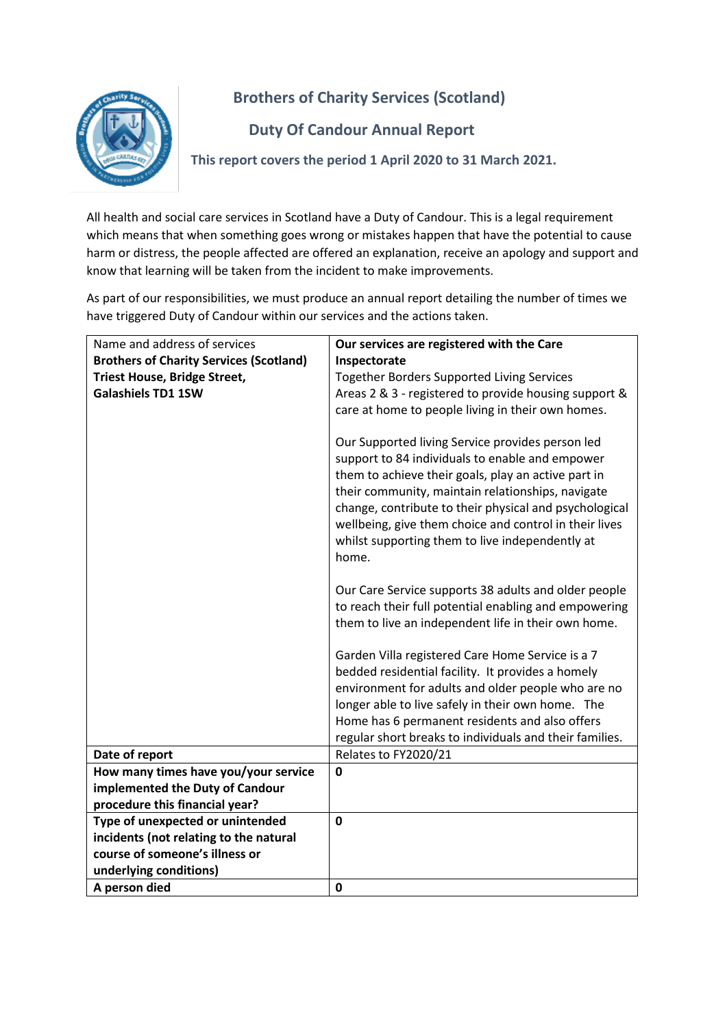

## **Brothers of Charity Services (Scotland)**

## **Duty Of Candour Annual Report**

**This report covers the period 1 April 2020 to 31 March 2021.**

All health and social care services in Scotland have a Duty of Candour. This is a legal requirement which means that when something goes wrong or mistakes happen that have the potential to cause harm or distress, the people affected are offered an explanation, receive an apology and support and know that learning will be taken from the incident to make improvements.

As part of our responsibilities, we must produce an annual report detailing the number of times we have triggered Duty of Candour within our services and the actions taken.

| Name and address of services                   | Our services are registered with the Care                                                                                                                                                                                                                                                                                                                                                       |
|------------------------------------------------|-------------------------------------------------------------------------------------------------------------------------------------------------------------------------------------------------------------------------------------------------------------------------------------------------------------------------------------------------------------------------------------------------|
| <b>Brothers of Charity Services (Scotland)</b> | Inspectorate                                                                                                                                                                                                                                                                                                                                                                                    |
| <b>Triest House, Bridge Street,</b>            | <b>Together Borders Supported Living Services</b>                                                                                                                                                                                                                                                                                                                                               |
| <b>Galashiels TD1 1SW</b>                      | Areas 2 & 3 - registered to provide housing support &                                                                                                                                                                                                                                                                                                                                           |
|                                                | care at home to people living in their own homes.                                                                                                                                                                                                                                                                                                                                               |
|                                                | Our Supported living Service provides person led<br>support to 84 individuals to enable and empower<br>them to achieve their goals, play an active part in<br>their community, maintain relationships, navigate<br>change, contribute to their physical and psychological<br>wellbeing, give them choice and control in their lives<br>whilst supporting them to live independently at<br>home. |
|                                                | Our Care Service supports 38 adults and older people<br>to reach their full potential enabling and empowering<br>them to live an independent life in their own home.                                                                                                                                                                                                                            |
|                                                | Garden Villa registered Care Home Service is a 7<br>bedded residential facility. It provides a homely<br>environment for adults and older people who are no<br>longer able to live safely in their own home. The<br>Home has 6 permanent residents and also offers<br>regular short breaks to individuals and their families.                                                                   |
| Date of report                                 | Relates to FY2020/21                                                                                                                                                                                                                                                                                                                                                                            |
| How many times have you/your service           | $\mathbf 0$                                                                                                                                                                                                                                                                                                                                                                                     |
| implemented the Duty of Candour                |                                                                                                                                                                                                                                                                                                                                                                                                 |
| procedure this financial year?                 |                                                                                                                                                                                                                                                                                                                                                                                                 |
| Type of unexpected or unintended               | 0                                                                                                                                                                                                                                                                                                                                                                                               |
| incidents (not relating to the natural         |                                                                                                                                                                                                                                                                                                                                                                                                 |
| course of someone's illness or                 |                                                                                                                                                                                                                                                                                                                                                                                                 |
| underlying conditions)                         |                                                                                                                                                                                                                                                                                                                                                                                                 |
| A person died                                  | 0                                                                                                                                                                                                                                                                                                                                                                                               |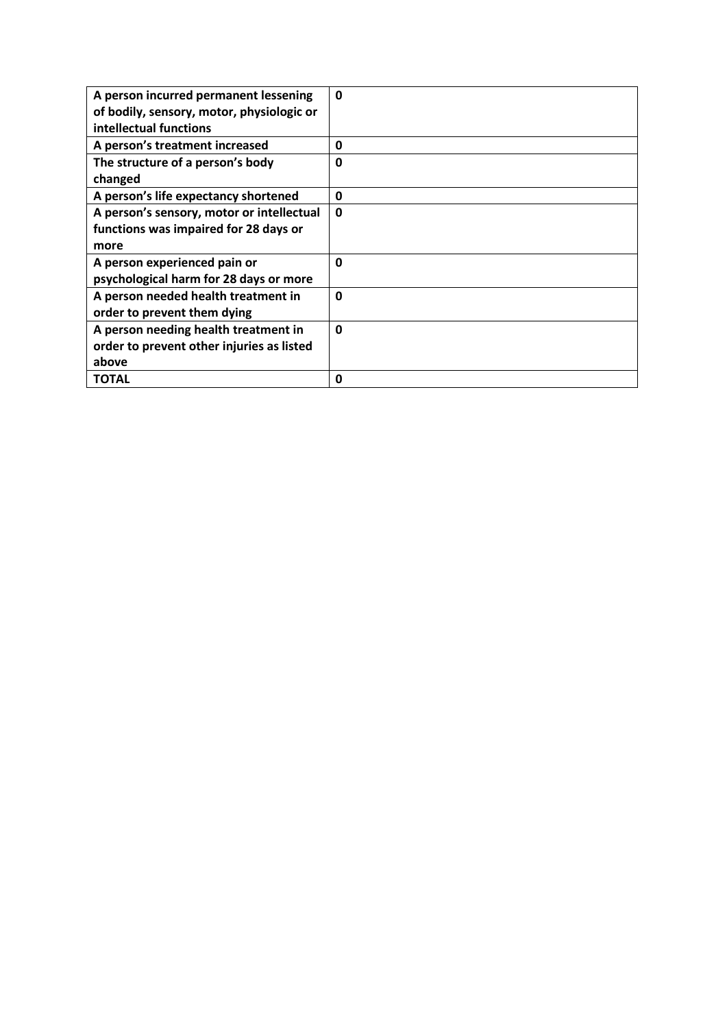| A person incurred permanent lessening<br>of bodily, sensory, motor, physiologic or<br>intellectual functions | 0           |
|--------------------------------------------------------------------------------------------------------------|-------------|
| A person's treatment increased                                                                               | 0           |
| The structure of a person's body                                                                             | 0           |
| changed                                                                                                      |             |
| A person's life expectancy shortened                                                                         | 0           |
| A person's sensory, motor or intellectual                                                                    | $\mathbf 0$ |
| functions was impaired for 28 days or                                                                        |             |
| more                                                                                                         |             |
| A person experienced pain or                                                                                 | $\mathbf 0$ |
| psychological harm for 28 days or more                                                                       |             |
| A person needed health treatment in                                                                          | 0           |
| order to prevent them dying                                                                                  |             |
| A person needing health treatment in                                                                         | $\mathbf 0$ |
| order to prevent other injuries as listed                                                                    |             |
| above                                                                                                        |             |
| <b>TOTAL</b>                                                                                                 | 0           |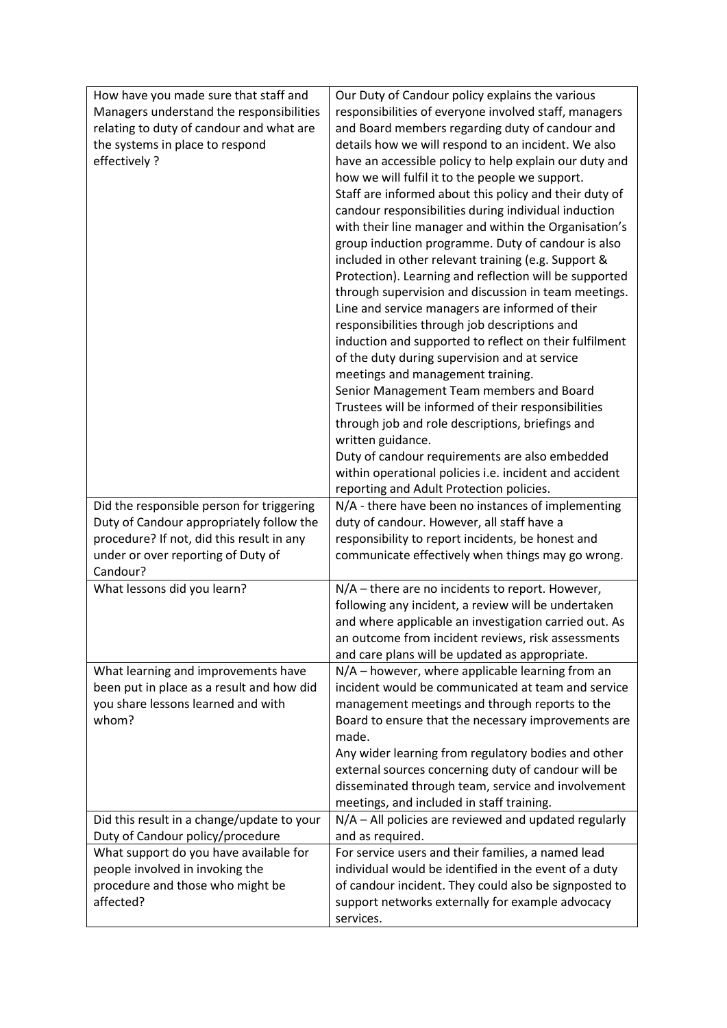| How have you made sure that staff and<br>Managers understand the responsibilities<br>relating to duty of candour and what are<br>the systems in place to respond<br>effectively ? | Our Duty of Candour policy explains the various<br>responsibilities of everyone involved staff, managers<br>and Board members regarding duty of candour and<br>details how we will respond to an incident. We also<br>have an accessible policy to help explain our duty and<br>how we will fulfil it to the people we support.<br>Staff are informed about this policy and their duty of<br>candour responsibilities during individual induction                                                   |
|-----------------------------------------------------------------------------------------------------------------------------------------------------------------------------------|-----------------------------------------------------------------------------------------------------------------------------------------------------------------------------------------------------------------------------------------------------------------------------------------------------------------------------------------------------------------------------------------------------------------------------------------------------------------------------------------------------|
|                                                                                                                                                                                   | with their line manager and within the Organisation's<br>group induction programme. Duty of candour is also<br>included in other relevant training (e.g. Support &<br>Protection). Learning and reflection will be supported<br>through supervision and discussion in team meetings.<br>Line and service managers are informed of their<br>responsibilities through job descriptions and<br>induction and supported to reflect on their fulfilment<br>of the duty during supervision and at service |
|                                                                                                                                                                                   | meetings and management training.<br>Senior Management Team members and Board<br>Trustees will be informed of their responsibilities<br>through job and role descriptions, briefings and<br>written guidance.<br>Duty of candour requirements are also embedded                                                                                                                                                                                                                                     |
|                                                                                                                                                                                   | within operational policies i.e. incident and accident<br>reporting and Adult Protection policies.                                                                                                                                                                                                                                                                                                                                                                                                  |
| Did the responsible person for triggering<br>Duty of Candour appropriately follow the<br>procedure? If not, did this result in any                                                | N/A - there have been no instances of implementing<br>duty of candour. However, all staff have a<br>responsibility to report incidents, be honest and                                                                                                                                                                                                                                                                                                                                               |
| under or over reporting of Duty of<br>Candour?                                                                                                                                    | communicate effectively when things may go wrong.                                                                                                                                                                                                                                                                                                                                                                                                                                                   |
| What lessons did you learn?                                                                                                                                                       | N/A - there are no incidents to report. However,<br>following any incident, a review will be undertaken<br>and where applicable an investigation carried out. As<br>an outcome from incident reviews, risk assessments<br>and care plans will be updated as appropriate.                                                                                                                                                                                                                            |
| What learning and improvements have<br>been put in place as a result and how did<br>you share lessons learned and with<br>whom?                                                   | $N/A$ – however, where applicable learning from an<br>incident would be communicated at team and service<br>management meetings and through reports to the<br>Board to ensure that the necessary improvements are<br>made.<br>Any wider learning from regulatory bodies and other<br>external sources concerning duty of candour will be<br>disseminated through team, service and involvement<br>meetings, and included in staff training.                                                         |
| Did this result in a change/update to your<br>Duty of Candour policy/procedure                                                                                                    | N/A - All policies are reviewed and updated regularly<br>and as required.                                                                                                                                                                                                                                                                                                                                                                                                                           |
| What support do you have available for                                                                                                                                            | For service users and their families, a named lead                                                                                                                                                                                                                                                                                                                                                                                                                                                  |
| people involved in invoking the<br>procedure and those who might be<br>affected?                                                                                                  | individual would be identified in the event of a duty<br>of candour incident. They could also be signposted to<br>support networks externally for example advocacy<br>services.                                                                                                                                                                                                                                                                                                                     |